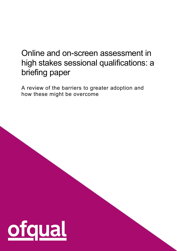# Online and on-screen assessment in high stakes sessional qualifications: a briefing paper

A review of the barriers to greater adoption and how these might be overcome

1

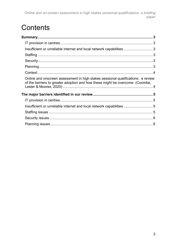Online and on-screen assessment in high stakes sessional qualifications: a briefing paper

# Contents

| Insufficient or unreliable internet and local network capabilities 3                                                                                             |  |
|------------------------------------------------------------------------------------------------------------------------------------------------------------------|--|
|                                                                                                                                                                  |  |
|                                                                                                                                                                  |  |
|                                                                                                                                                                  |  |
|                                                                                                                                                                  |  |
| Online and onscreen assessment in high stakes sessional qualifications: a review<br>of the barriers to greater adoption and how these might be overcome (Coombe, |  |
|                                                                                                                                                                  |  |
|                                                                                                                                                                  |  |
| Insufficient or unreliable internet and local network capabilities  5                                                                                            |  |
|                                                                                                                                                                  |  |
|                                                                                                                                                                  |  |
|                                                                                                                                                                  |  |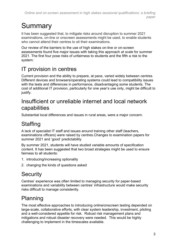# <span id="page-2-0"></span>**Summary**

It has been suggested that, to mitigate risks around disruption to summer 2021 examinations, on-line or onscreen assessments might be used, to enable students who cannot attend their centres to sit their examinations.

Our review of the barriers to the use of high stakes on-line or on-screen assessments found five major issues with taking this approach *at scale* for summer 2021. The first four pose risks of unfairness to students and the fifth a risk to the system:

# <span id="page-2-1"></span>IT provision in centres

Current provision and the ability to prepare, at pace, varied widely between centres. Different devices and browsers/operating systems could lead to compatibility issues with the tests and differences in performance, disadvantaging some students. The cost of additional IT provision, particularly for one year's use only, might be difficult to justify.

#### <span id="page-2-2"></span>Insufficient or unreliable internet and local network capabilities

Substantial local differences and issues in rural areas, were a major concern.

# <span id="page-2-3"></span>**Staffing**

A lack of specialist IT staff and issues around training other staff (teachers, examinations officers) were raised by centres.Changes to examination papers for summer 2021 and 'good' predictability

By summer 2021, students will have studied variable amounts of specification content. It has been suggested that two broad strategies might be used to ensure fairness to all students:

- 1. introducing/increasing optionality
- 2. changing the kinds of questions asked

# <span id="page-2-4"></span>**Security**

Centres' experience was often limited to managing security for paper-based examinations and variability between centres' infrastructure would make security risks difficult to manage consistently.

# <span id="page-2-5"></span>Planning

The most effective approaches to introducing online/onscreen testing depended on large-scale, collaborative efforts, with clear system leadership, investment, piloting and a well-considered appetite for risk. Robust risk management plans and mitigations and robust disaster recovery were needed. This would be highly challenging to implement in the timescales available.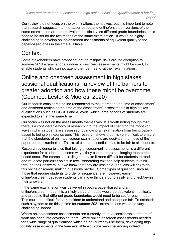Our review did not focus on the examinations themselves, but it is important to note that research suggests that the paper-based and online/onscreen versions of the same examination are not equivalent in difficulty, so different grade boundaries could need to be set for the two modes of the same examination. It would be highly challenging to develop online/onscreen assessments of equivalent quality to the paper-based ones in the time available.

## <span id="page-3-0"></span>**Context**

Some stakeholders have proposed that, to mitigate risks around disruption to summer 2021 examinations, on-line or onscreen assessments might be used, to enable students who cannot attend their centres to sit their examinations.

#### <span id="page-3-1"></span>Online and onscreen assessment in high stakes sessional qualifications: a review of the barriers to greater adoption and how these might be overcome (Coombe, Lester & Moores, 2020)

Our research considered online (connected to the internet at the time of assessment) and onscreen (offline at the time of the assessment) assessments in high stakes qualifications such as GCSEs and A levels, which large cohorts of students are expected to sit at the same time.

Our focus was not on the assessments themselves. It is worth noting though that there is a considerable body of research into the impact of changing the mode (or way) in which students are assessed, by moving an examination from being paperbased to being online/onscreen. This research shows that it is very difficult to ensure that the standards of online/onscreen examinations are equivalent to those of the paper-based examination. This is, of course, essential so as to be fair to all students.

Research evidence tells us that taking onscreen/online assessments is a different experience for students. In some ways, they can be more challenging than paperbased ones. For example, scrolling can make it more difficult for students to read and re-locate particular points in text. Annotating text can help students to think through their answers, but we know that they are less able (and less willing) to do this online/onscreen, making questions harder. Some types of question, such as those that require students to order or sequence, are, however, easier online/onscreen, because students can move things around easily and check/revise their answers.

If the same examination was delivered in both a paper-based and an online/onscreen mode, it is unlikely that the modes would be equivalent in difficulty and probable that different grade boundaries would need to be set for each mode. This could be difficult for stakeholders to understand and accept as fair. To establish such a system to do this in time for summer 2021 examinations would be very challenging indeed.

Where online/onscreen assessments are currently used, a considerable amount of work has gone into developing them. Were online/onscreen assessments needed for a wide range of qualifications which do not currently use them, developing high quality assessments in the time available would be very challenging indeed.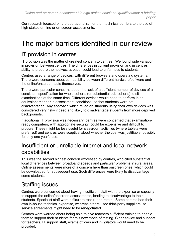Our research focused on the operational rather than technical barriers to the use of high stakes on-line or on-screen assessments.

# <span id="page-4-0"></span>The major barriers identified in our review

# <span id="page-4-1"></span>IT provision in centres

IT provision was the matter of greatest concern to centres. We found wide variation in provision between centres. The differences in current provision and in centres' ability to prepare themselves, at pace, could lead to unfairness to students.

Centres used a range of devices, with different browsers and operating systems. There were concerns about compatibility between different hardware/software and the online/onscreen tests themselves.

There were particular concerns about the lack of a sufficient number of devices of a consistent specification for whole cohorts (or substantial sub-cohorts) to sit examinations at the same time. Different devices would need to perform in an equivalent manner in assessment conditions, so that students were not disadvantaged. Any approach which relied on students using their own devices was considered very risky indeed and likely to disadvantage students from more deprived backgrounds.

If additional IT provision was necessary, centres were concerned that examinationready computers, with appropriate security, could be expensive and difficult to procure. These might be less useful for classroom activities (where tablets were preferred) and centres were sceptical about whether the cost was justifiable, possibly for only one year's use.

#### <span id="page-4-2"></span>Insufficient or unreliable internet and local network capabilities

This was the second highest concern expressed by centres, who cited substantial local differences between broadband speeds and particular problems in rural areas. Online assessments were more of a concern here than onscreen ones, which could be downloaded for subsequent use. Such differences were likely to disadvantage some students.

## <span id="page-4-3"></span>Staffing issues

Centres were concerned about having insufficient staff with the expertise or capacity to support the online/onscreen assessments, leading to disadvantage to their students. Specialist staff were difficult to recruit and retain. Some centres had their own in-house technical expertise, whereas others used third-party suppliers, so service agreements might need to be renegotiated.

Centres were worried about being able to give teachers sufficient training to enable them to support their students for this new mode of testing. Clear advice and support for teachers, IT support staff, exams officers and invigilators would need to be provided.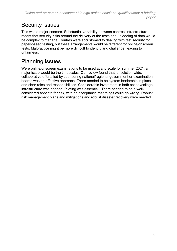## <span id="page-5-0"></span>Security issues

This was a major concern. Substantial variability between centres' infrastructure meant that security risks around the delivery of the tests and uploading of data would be complex to manage. Centres were accustomed to dealing with test security for paper-based testing, but these arrangements would be different for online/onscreen tests. Malpractice might be more difficult to identify and challenge, leading to unfairness.

## <span id="page-5-1"></span>Planning issues

Were online/onscreen examinations to be used at any scale for summer 2021, a major issue would be the timescales. Our review found that jurisdiction-wide, collaborative efforts led by sponsoring national/regional government or examination boards was an effective approach. There needed to be system leadership in place and clear roles and responsibilities. Considerable investment in both school/college infrastructure was needed. Piloting was essential. There needed to be a wellconsidered appetite for risk, with an acceptance that things could go wrong. Robust risk management plans and mitigations and robust disaster recovery were needed.